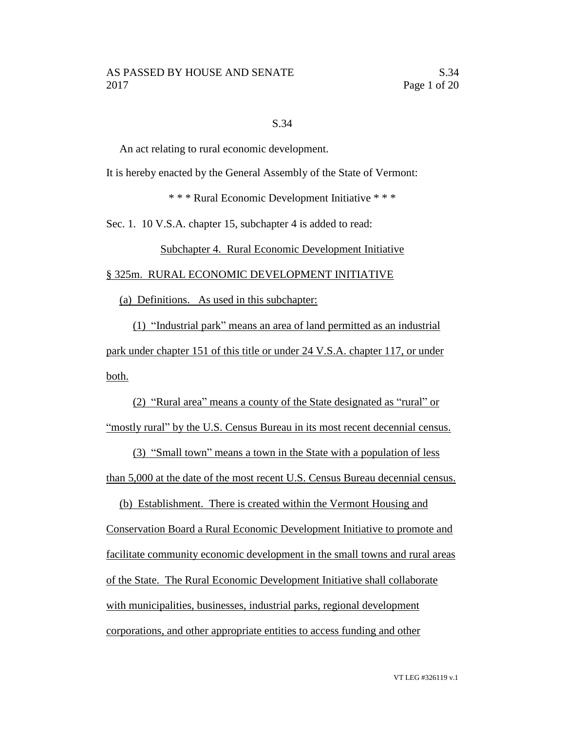### S.34

An act relating to rural economic development.

It is hereby enacted by the General Assembly of the State of Vermont:

\* \* \* Rural Economic Development Initiative \* \* \*

Sec. 1. 10 V.S.A. chapter 15, subchapter 4 is added to read:

## Subchapter 4. Rural Economic Development Initiative

§ 325m. RURAL ECONOMIC DEVELOPMENT INITIATIVE

(a) Definitions. As used in this subchapter:

(1) "Industrial park" means an area of land permitted as an industrial park under chapter 151 of this title or under 24 V.S.A. chapter 117, or under both.

(2) "Rural area" means a county of the State designated as "rural" or "mostly rural" by the U.S. Census Bureau in its most recent decennial census.

(3) "Small town" means a town in the State with a population of less than 5,000 at the date of the most recent U.S. Census Bureau decennial census.

(b) Establishment. There is created within the Vermont Housing and Conservation Board a Rural Economic Development Initiative to promote and facilitate community economic development in the small towns and rural areas of the State. The Rural Economic Development Initiative shall collaborate with municipalities, businesses, industrial parks, regional development corporations, and other appropriate entities to access funding and other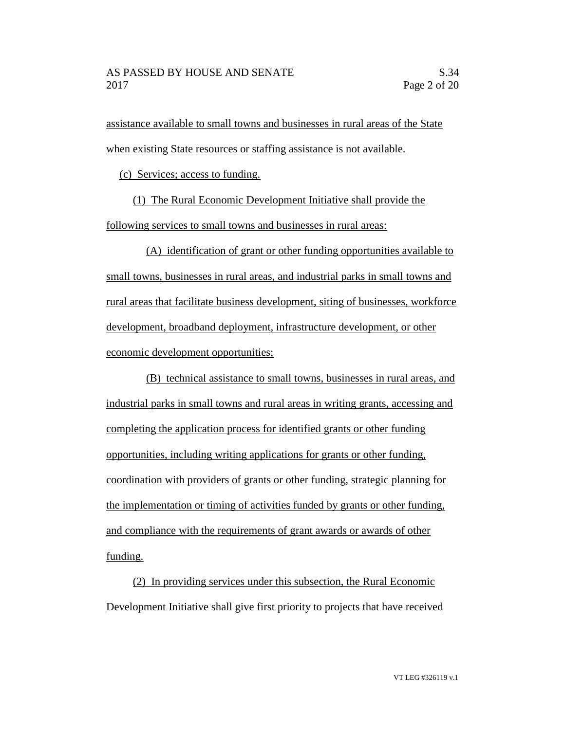assistance available to small towns and businesses in rural areas of the State when existing State resources or staffing assistance is not available.

(c) Services; access to funding.

(1) The Rural Economic Development Initiative shall provide the following services to small towns and businesses in rural areas:

(A) identification of grant or other funding opportunities available to small towns, businesses in rural areas, and industrial parks in small towns and rural areas that facilitate business development, siting of businesses, workforce development, broadband deployment, infrastructure development, or other economic development opportunities;

(B) technical assistance to small towns, businesses in rural areas, and industrial parks in small towns and rural areas in writing grants, accessing and completing the application process for identified grants or other funding opportunities, including writing applications for grants or other funding, coordination with providers of grants or other funding, strategic planning for the implementation or timing of activities funded by grants or other funding, and compliance with the requirements of grant awards or awards of other funding.

(2) In providing services under this subsection, the Rural Economic Development Initiative shall give first priority to projects that have received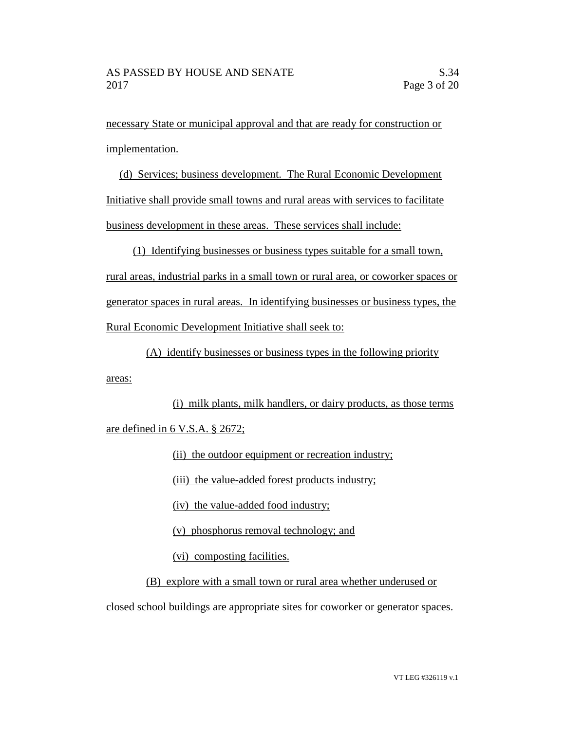areas:

necessary State or municipal approval and that are ready for construction or implementation.

(d) Services; business development. The Rural Economic Development Initiative shall provide small towns and rural areas with services to facilitate business development in these areas. These services shall include:

(1) Identifying businesses or business types suitable for a small town, rural areas, industrial parks in a small town or rural area, or coworker spaces or generator spaces in rural areas. In identifying businesses or business types, the Rural Economic Development Initiative shall seek to:

(A) identify businesses or business types in the following priority

(i) milk plants, milk handlers, or dairy products, as those terms are defined in 6 V.S.A. § 2672;

(ii) the outdoor equipment or recreation industry;

(iii) the value-added forest products industry;

(iv) the value-added food industry;

(v) phosphorus removal technology; and

(vi) composting facilities.

(B) explore with a small town or rural area whether underused or

closed school buildings are appropriate sites for coworker or generator spaces.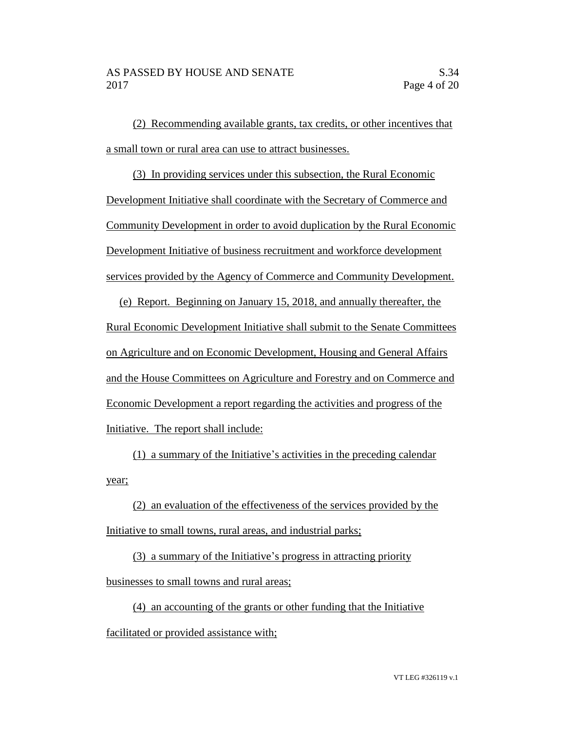(2) Recommending available grants, tax credits, or other incentives that a small town or rural area can use to attract businesses.

(3) In providing services under this subsection, the Rural Economic Development Initiative shall coordinate with the Secretary of Commerce and Community Development in order to avoid duplication by the Rural Economic Development Initiative of business recruitment and workforce development services provided by the Agency of Commerce and Community Development.

(e) Report. Beginning on January 15, 2018, and annually thereafter, the Rural Economic Development Initiative shall submit to the Senate Committees on Agriculture and on Economic Development, Housing and General Affairs and the House Committees on Agriculture and Forestry and on Commerce and Economic Development a report regarding the activities and progress of the Initiative. The report shall include:

(1) a summary of the Initiative's activities in the preceding calendar year;

(2) an evaluation of the effectiveness of the services provided by the Initiative to small towns, rural areas, and industrial parks;

(3) a summary of the Initiative's progress in attracting priority businesses to small towns and rural areas;

(4) an accounting of the grants or other funding that the Initiative facilitated or provided assistance with;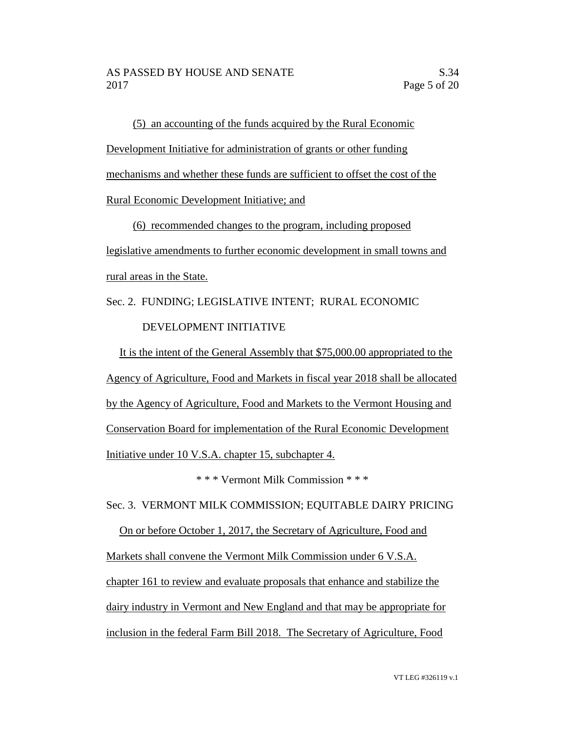(5) an accounting of the funds acquired by the Rural Economic Development Initiative for administration of grants or other funding mechanisms and whether these funds are sufficient to offset the cost of the Rural Economic Development Initiative; and

(6) recommended changes to the program, including proposed legislative amendments to further economic development in small towns and rural areas in the State.

Sec. 2. FUNDING; LEGISLATIVE INTENT; RURAL ECONOMIC DEVELOPMENT INITIATIVE

It is the intent of the General Assembly that \$75,000.00 appropriated to the Agency of Agriculture, Food and Markets in fiscal year 2018 shall be allocated by the Agency of Agriculture, Food and Markets to the Vermont Housing and Conservation Board for implementation of the Rural Economic Development Initiative under 10 V.S.A. chapter 15, subchapter 4.

\* \* \* Vermont Milk Commission \* \* \*

Sec. 3. VERMONT MILK COMMISSION; EQUITABLE DAIRY PRICING

On or before October 1, 2017, the Secretary of Agriculture, Food and Markets shall convene the Vermont Milk Commission under 6 V.S.A. chapter 161 to review and evaluate proposals that enhance and stabilize the dairy industry in Vermont and New England and that may be appropriate for inclusion in the federal Farm Bill 2018. The Secretary of Agriculture, Food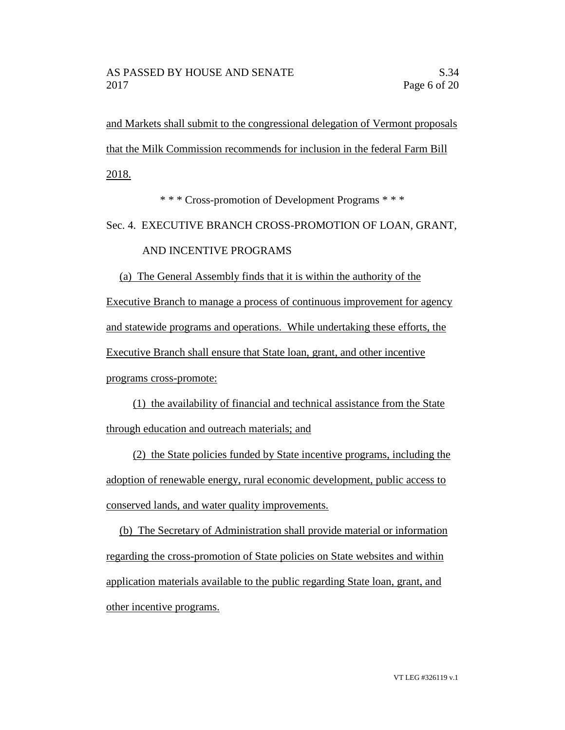and Markets shall submit to the congressional delegation of Vermont proposals that the Milk Commission recommends for inclusion in the federal Farm Bill 2018.

\* \* \* Cross-promotion of Development Programs \* \* \*

Sec. 4. EXECUTIVE BRANCH CROSS-PROMOTION OF LOAN, GRANT,

## AND INCENTIVE PROGRAMS

(a) The General Assembly finds that it is within the authority of the Executive Branch to manage a process of continuous improvement for agency and statewide programs and operations. While undertaking these efforts, the Executive Branch shall ensure that State loan, grant, and other incentive programs cross-promote:

(1) the availability of financial and technical assistance from the State through education and outreach materials; and

(2) the State policies funded by State incentive programs, including the adoption of renewable energy, rural economic development, public access to conserved lands, and water quality improvements.

(b) The Secretary of Administration shall provide material or information regarding the cross-promotion of State policies on State websites and within application materials available to the public regarding State loan, grant, and other incentive programs.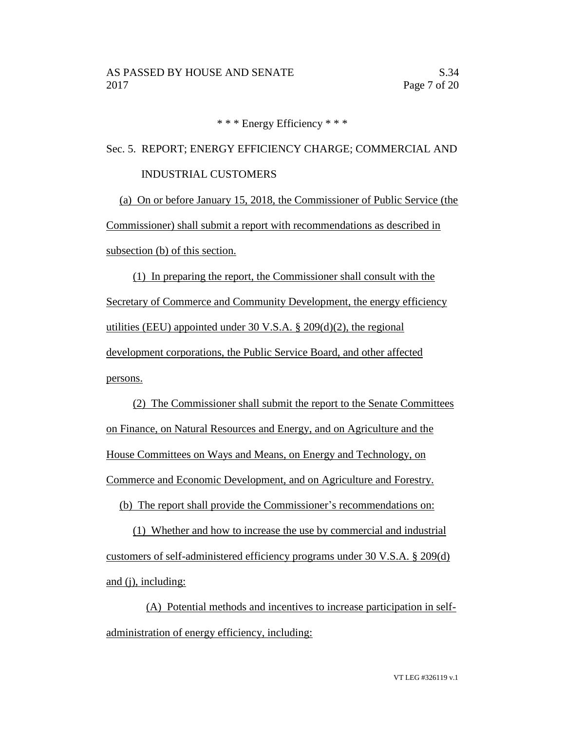\* \* \* Energy Efficiency \* \* \*

Sec. 5. REPORT; ENERGY EFFICIENCY CHARGE; COMMERCIAL AND INDUSTRIAL CUSTOMERS

(a) On or before January 15, 2018, the Commissioner of Public Service (the Commissioner) shall submit a report with recommendations as described in subsection (b) of this section.

(1) In preparing the report, the Commissioner shall consult with the Secretary of Commerce and Community Development, the energy efficiency utilities (EEU) appointed under 30 V.S.A. § 209(d)(2), the regional development corporations, the Public Service Board, and other affected persons.

(2) The Commissioner shall submit the report to the Senate Committees on Finance, on Natural Resources and Energy, and on Agriculture and the House Committees on Ways and Means, on Energy and Technology, on Commerce and Economic Development, and on Agriculture and Forestry.

(b) The report shall provide the Commissioner's recommendations on:

(1) Whether and how to increase the use by commercial and industrial customers of self-administered efficiency programs under 30 V.S.A. § 209(d) and (j), including:

(A) Potential methods and incentives to increase participation in selfadministration of energy efficiency, including: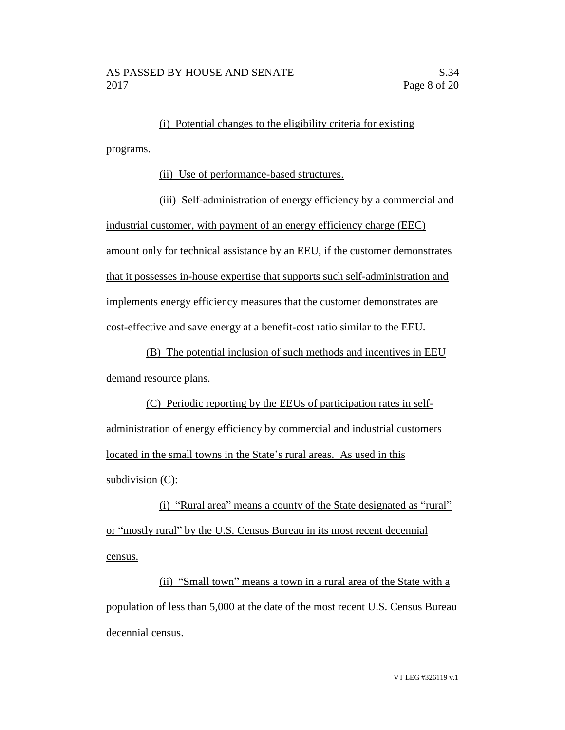(i) Potential changes to the eligibility criteria for existing programs.

(ii) Use of performance-based structures.

(iii) Self-administration of energy efficiency by a commercial and industrial customer, with payment of an energy efficiency charge (EEC) amount only for technical assistance by an EEU, if the customer demonstrates that it possesses in-house expertise that supports such self-administration and implements energy efficiency measures that the customer demonstrates are cost-effective and save energy at a benefit-cost ratio similar to the EEU.

(B) The potential inclusion of such methods and incentives in EEU demand resource plans.

(C) Periodic reporting by the EEUs of participation rates in selfadministration of energy efficiency by commercial and industrial customers located in the small towns in the State's rural areas. As used in this subdivision (C):

(i) "Rural area" means a county of the State designated as "rural" or "mostly rural" by the U.S. Census Bureau in its most recent decennial census.

(ii) "Small town" means a town in a rural area of the State with a population of less than 5,000 at the date of the most recent U.S. Census Bureau decennial census.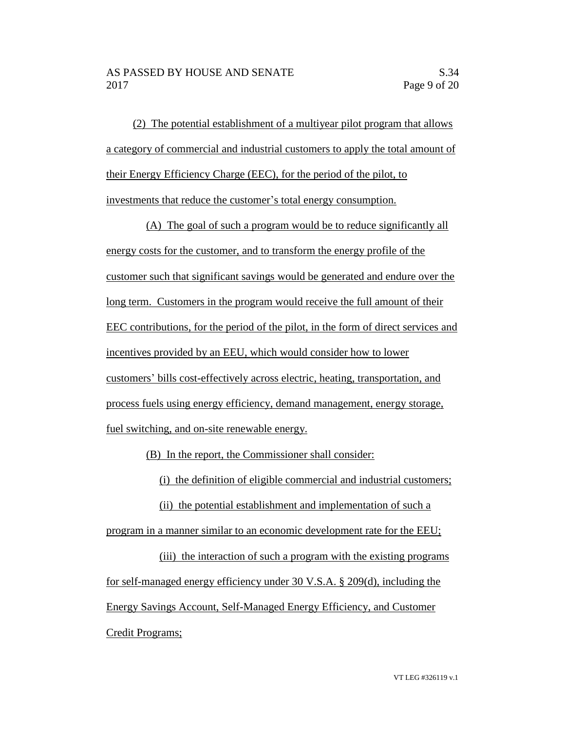(2) The potential establishment of a multiyear pilot program that allows a category of commercial and industrial customers to apply the total amount of their Energy Efficiency Charge (EEC), for the period of the pilot, to investments that reduce the customer's total energy consumption.

(A) The goal of such a program would be to reduce significantly all energy costs for the customer, and to transform the energy profile of the customer such that significant savings would be generated and endure over the long term. Customers in the program would receive the full amount of their EEC contributions, for the period of the pilot, in the form of direct services and incentives provided by an EEU, which would consider how to lower customers' bills cost-effectively across electric, heating, transportation, and process fuels using energy efficiency, demand management, energy storage, fuel switching, and on-site renewable energy.

(B) In the report, the Commissioner shall consider:

(i) the definition of eligible commercial and industrial customers;

(ii) the potential establishment and implementation of such a

program in a manner similar to an economic development rate for the EEU;

(iii) the interaction of such a program with the existing programs for self-managed energy efficiency under  $30$  V.S.A. § 209(d), including the Energy Savings Account, Self-Managed Energy Efficiency, and Customer Credit Programs;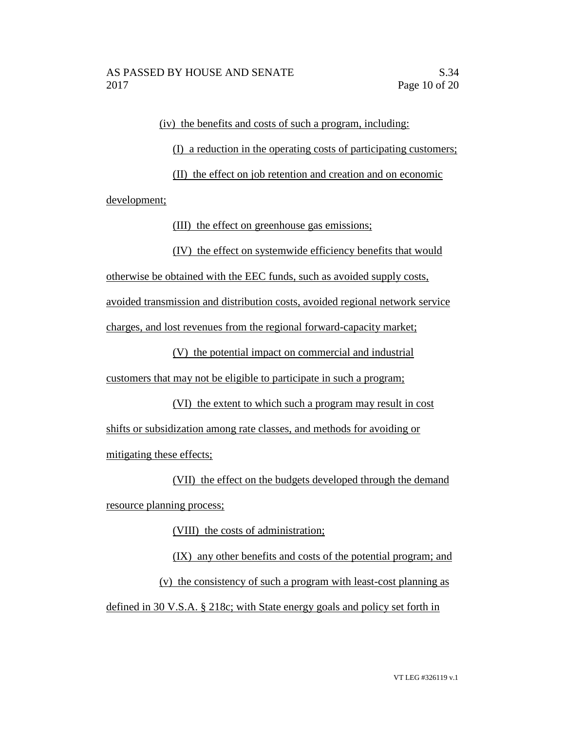(iv) the benefits and costs of such a program, including:

(I) a reduction in the operating costs of participating customers;

(II) the effect on job retention and creation and on economic development;

(III) the effect on greenhouse gas emissions;

(IV) the effect on systemwide efficiency benefits that would

otherwise be obtained with the EEC funds, such as avoided supply costs,

avoided transmission and distribution costs, avoided regional network service

charges, and lost revenues from the regional forward-capacity market;

(V) the potential impact on commercial and industrial

customers that may not be eligible to participate in such a program;

(VI) the extent to which such a program may result in cost shifts or subsidization among rate classes, and methods for avoiding or mitigating these effects;

(VII) the effect on the budgets developed through the demand resource planning process;

(VIII) the costs of administration;

(IX) any other benefits and costs of the potential program; and (v) the consistency of such a program with least-cost planning as defined in 30 V.S.A. § 218c; with State energy goals and policy set forth in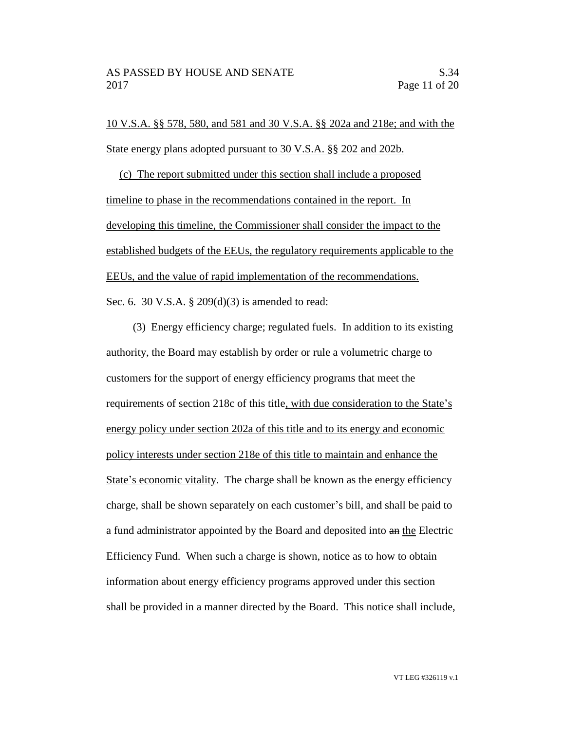10 V.S.A. §§ 578, 580, and 581 and 30 V.S.A. §§ 202a and 218e; and with the State energy plans adopted pursuant to 30 V.S.A. §§ 202 and 202b.

(c) The report submitted under this section shall include a proposed timeline to phase in the recommendations contained in the report. In developing this timeline, the Commissioner shall consider the impact to the established budgets of the EEUs, the regulatory requirements applicable to the EEUs, and the value of rapid implementation of the recommendations. Sec. 6. 30 V.S.A. § 209(d)(3) is amended to read:

(3) Energy efficiency charge; regulated fuels. In addition to its existing authority, the Board may establish by order or rule a volumetric charge to customers for the support of energy efficiency programs that meet the requirements of section 218c of this title, with due consideration to the State's energy policy under section 202a of this title and to its energy and economic policy interests under section 218e of this title to maintain and enhance the State's economic vitality. The charge shall be known as the energy efficiency charge, shall be shown separately on each customer's bill, and shall be paid to a fund administrator appointed by the Board and deposited into an the Electric Efficiency Fund. When such a charge is shown, notice as to how to obtain information about energy efficiency programs approved under this section shall be provided in a manner directed by the Board. This notice shall include,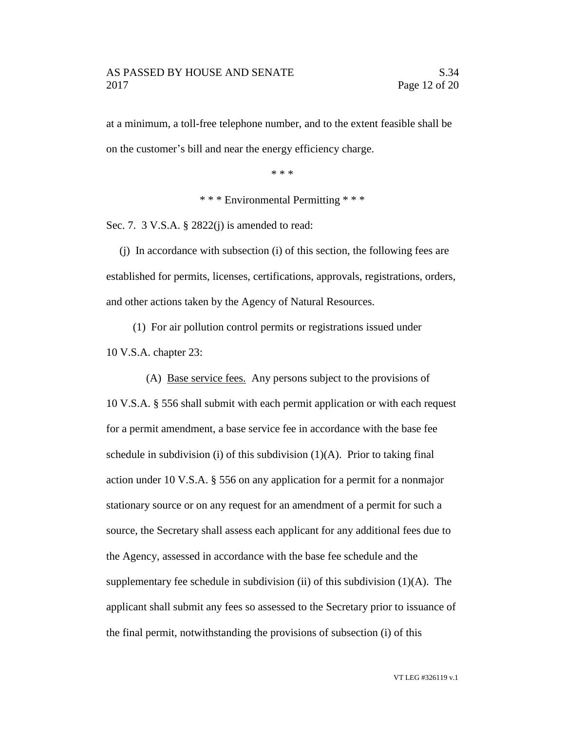at a minimum, a toll-free telephone number, and to the extent feasible shall be on the customer's bill and near the energy efficiency charge.

\* \* \*

\* \* \* Environmental Permitting \* \* \*

Sec. 7. 3 V.S.A. § 2822(j) is amended to read:

(j) In accordance with subsection (i) of this section, the following fees are established for permits, licenses, certifications, approvals, registrations, orders, and other actions taken by the Agency of Natural Resources.

(1) For air pollution control permits or registrations issued under 10 V.S.A. chapter 23:

(A) Base service fees. Any persons subject to the provisions of 10 V.S.A. § 556 shall submit with each permit application or with each request for a permit amendment, a base service fee in accordance with the base fee schedule in subdivision (i) of this subdivision  $(1)(A)$ . Prior to taking final action under 10 V.S.A. § 556 on any application for a permit for a nonmajor stationary source or on any request for an amendment of a permit for such a source, the Secretary shall assess each applicant for any additional fees due to the Agency, assessed in accordance with the base fee schedule and the supplementary fee schedule in subdivision (ii) of this subdivision  $(1)(A)$ . The applicant shall submit any fees so assessed to the Secretary prior to issuance of the final permit, notwithstanding the provisions of subsection (i) of this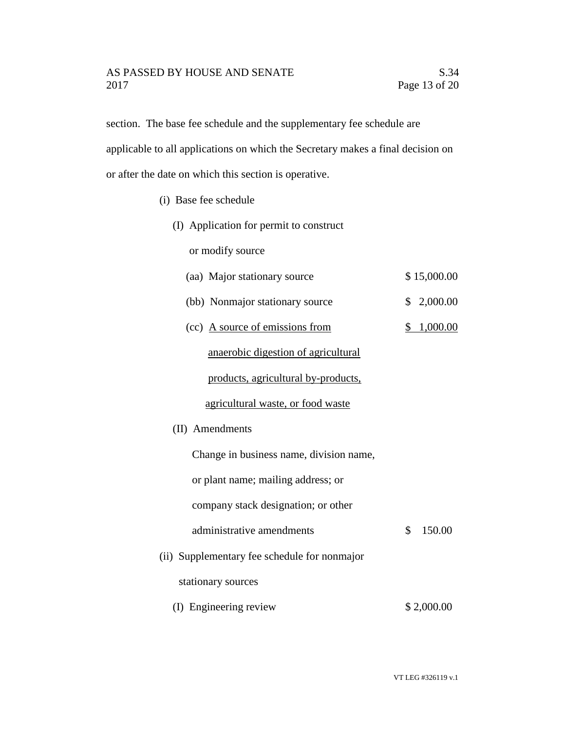# AS PASSED BY HOUSE AND SENATE S.34 2017 Page 13 of 20

section. The base fee schedule and the supplementary fee schedule are applicable to all applications on which the Secretary makes a final decision on or after the date on which this section is operative.

- (i) Base fee schedule
	- (I) Application for permit to construct

or modify source

- (aa) Major stationary source \$ 15,000.00
- (bb) Nonmajor stationary source \$ 2,000.00
- (cc) A source of emissions from  $$ 1,000.00$

anaerobic digestion of agricultural

products, agricultural by-products,

#### agricultural waste, or food waste

(II) Amendments

 Change in business name, division name, or plant name; mailing address; or

company stack designation; or other

- administrative amendments  $\qquad \qquad$  \$ 150.00
- (ii) Supplementary fee schedule for nonmajor

stationary sources

(I) Engineering review \$ 2,000.00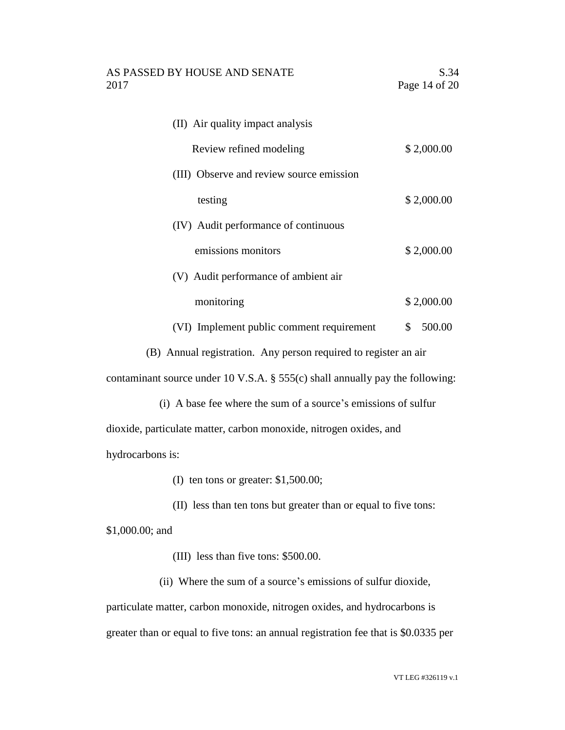| (II) Air quality impact analysis                                                 |    |            |
|----------------------------------------------------------------------------------|----|------------|
| Review refined modeling                                                          |    | \$2,000.00 |
| (III) Observe and review source emission                                         |    |            |
| testing                                                                          |    | \$2,000.00 |
| (IV) Audit performance of continuous                                             |    |            |
| emissions monitors                                                               |    | \$2,000.00 |
| (V) Audit performance of ambient air                                             |    |            |
| monitoring                                                                       |    | \$2,000.00 |
| (VI) Implement public comment requirement                                        | \$ | 500.00     |
| (B) Annual registration. Any person required to register an air                  |    |            |
| contaminant source under 10 V.S.A. $\S$ 555(c) shall annually pay the following: |    |            |
| (i) A base fee where the sum of a source's emissions of sulfur                   |    |            |
| dioxide, particulate matter, carbon monoxide, nitrogen oxides, and               |    |            |

hydrocarbons is:

(I) ten tons or greater: \$1,500.00;

(II) less than ten tons but greater than or equal to five tons:

\$1,000.00; and

(III) less than five tons: \$500.00.

(ii) Where the sum of a source's emissions of sulfur dioxide, particulate matter, carbon monoxide, nitrogen oxides, and hydrocarbons is greater than or equal to five tons: an annual registration fee that is \$0.0335 per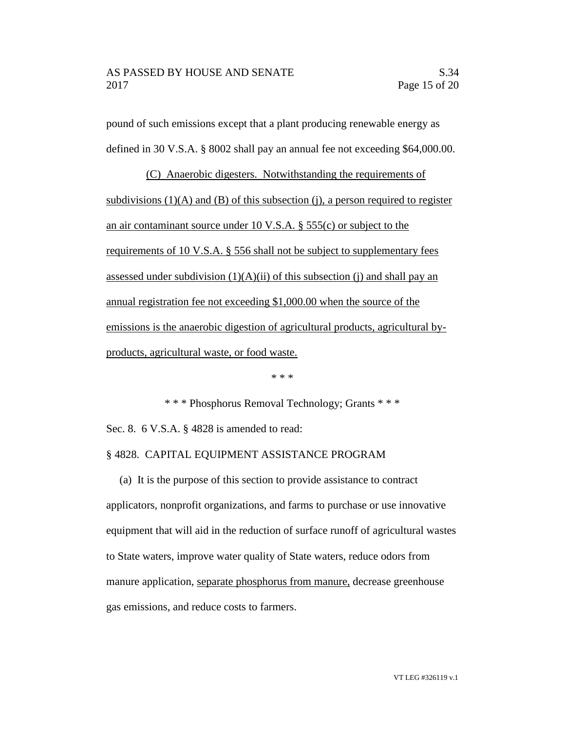pound of such emissions except that a plant producing renewable energy as defined in 30 V.S.A. § 8002 shall pay an annual fee not exceeding \$64,000.00.

(C) Anaerobic digesters. Notwithstanding the requirements of subdivisions  $(1)(A)$  and  $(B)$  of this subsection  $(i)$ , a person required to register an air contaminant source under 10 V.S.A. § 555(c) or subject to the requirements of 10 V.S.A. § 556 shall not be subject to supplementary fees assessed under subdivision  $(1)(A)(ii)$  of this subsection (j) and shall pay an annual registration fee not exceeding \$1,000.00 when the source of the emissions is the anaerobic digestion of agricultural products, agricultural byproducts, agricultural waste, or food waste.

\* \* \*

\* \* \* Phosphorus Removal Technology; Grants \* \* \* Sec. 8. 6 V.S.A. § 4828 is amended to read:

### § 4828. CAPITAL EQUIPMENT ASSISTANCE PROGRAM

(a) It is the purpose of this section to provide assistance to contract applicators, nonprofit organizations, and farms to purchase or use innovative equipment that will aid in the reduction of surface runoff of agricultural wastes to State waters, improve water quality of State waters, reduce odors from manure application, separate phosphorus from manure, decrease greenhouse gas emissions, and reduce costs to farmers.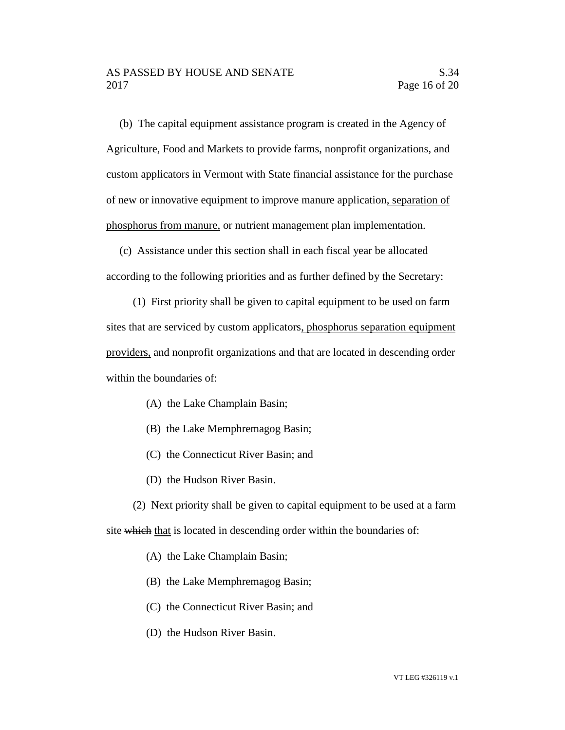(b) The capital equipment assistance program is created in the Agency of Agriculture, Food and Markets to provide farms, nonprofit organizations, and custom applicators in Vermont with State financial assistance for the purchase of new or innovative equipment to improve manure application, separation of phosphorus from manure, or nutrient management plan implementation.

(c) Assistance under this section shall in each fiscal year be allocated according to the following priorities and as further defined by the Secretary:

(1) First priority shall be given to capital equipment to be used on farm sites that are serviced by custom applicators, phosphorus separation equipment providers, and nonprofit organizations and that are located in descending order within the boundaries of:

- (A) the Lake Champlain Basin;
- (B) the Lake Memphremagog Basin;
- (C) the Connecticut River Basin; and
- (D) the Hudson River Basin.

(2) Next priority shall be given to capital equipment to be used at a farm site which that is located in descending order within the boundaries of:

- (A) the Lake Champlain Basin;
- (B) the Lake Memphremagog Basin;
- (C) the Connecticut River Basin; and
- (D) the Hudson River Basin.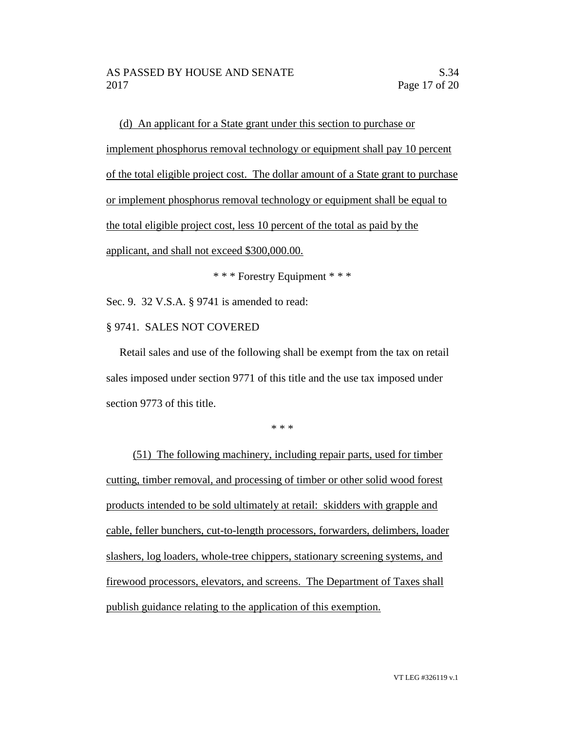(d) An applicant for a State grant under this section to purchase or implement phosphorus removal technology or equipment shall pay 10 percent of the total eligible project cost. The dollar amount of a State grant to purchase or implement phosphorus removal technology or equipment shall be equal to the total eligible project cost, less 10 percent of the total as paid by the applicant, and shall not exceed \$300,000.00.

\* \* \* Forestry Equipment \* \* \*

Sec. 9. 32 V.S.A. § 9741 is amended to read:

# § 9741. SALES NOT COVERED

Retail sales and use of the following shall be exempt from the tax on retail sales imposed under section 9771 of this title and the use tax imposed under section 9773 of this title.

\* \* \*

(51) The following machinery, including repair parts, used for timber cutting, timber removal, and processing of timber or other solid wood forest products intended to be sold ultimately at retail: skidders with grapple and cable, feller bunchers, cut-to-length processors, forwarders, delimbers, loader slashers, log loaders, whole-tree chippers, stationary screening systems, and firewood processors, elevators, and screens. The Department of Taxes shall publish guidance relating to the application of this exemption.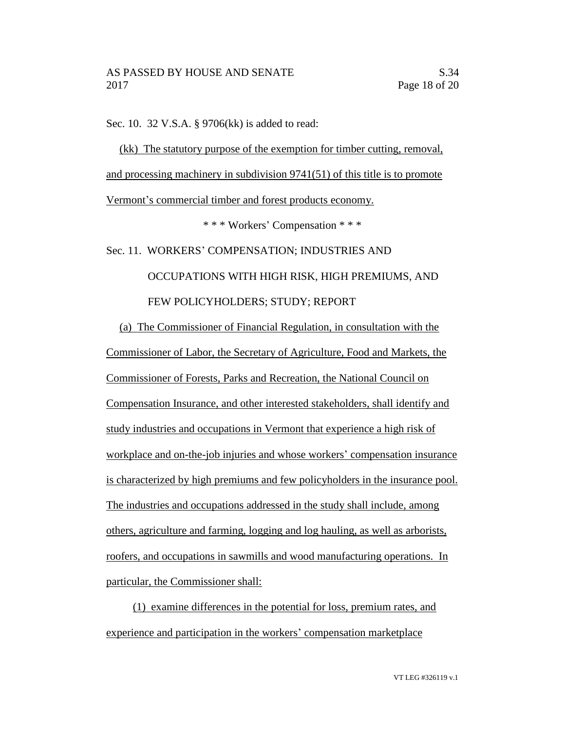Sec. 10. 32 V.S.A. § 9706(kk) is added to read:

(kk) The statutory purpose of the exemption for timber cutting, removal, and processing machinery in subdivision 9741(51) of this title is to promote Vermont's commercial timber and forest products economy.

\* \* \* Workers' Compensation \* \* \*

Sec. 11. WORKERS' COMPENSATION; INDUSTRIES AND OCCUPATIONS WITH HIGH RISK, HIGH PREMIUMS, AND FEW POLICYHOLDERS; STUDY; REPORT

(a) The Commissioner of Financial Regulation, in consultation with the Commissioner of Labor, the Secretary of Agriculture, Food and Markets, the Commissioner of Forests, Parks and Recreation, the National Council on Compensation Insurance, and other interested stakeholders, shall identify and study industries and occupations in Vermont that experience a high risk of workplace and on-the-job injuries and whose workers' compensation insurance is characterized by high premiums and few policyholders in the insurance pool. The industries and occupations addressed in the study shall include, among others, agriculture and farming, logging and log hauling, as well as arborists, roofers, and occupations in sawmills and wood manufacturing operations. In particular, the Commissioner shall:

(1) examine differences in the potential for loss, premium rates, and experience and participation in the workers' compensation marketplace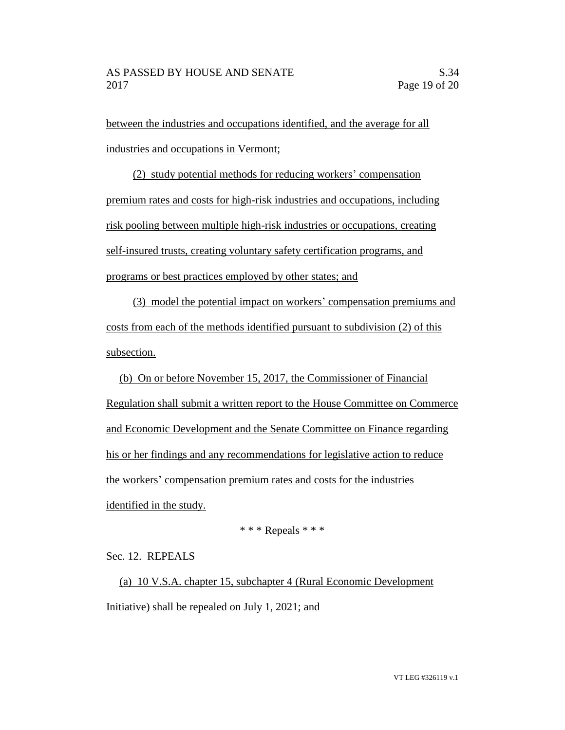between the industries and occupations identified, and the average for all industries and occupations in Vermont;

(2) study potential methods for reducing workers' compensation premium rates and costs for high-risk industries and occupations, including risk pooling between multiple high-risk industries or occupations, creating self-insured trusts, creating voluntary safety certification programs, and programs or best practices employed by other states; and

(3) model the potential impact on workers' compensation premiums and costs from each of the methods identified pursuant to subdivision (2) of this subsection.

(b) On or before November 15, 2017, the Commissioner of Financial Regulation shall submit a written report to the House Committee on Commerce and Economic Development and the Senate Committee on Finance regarding his or her findings and any recommendations for legislative action to reduce the workers' compensation premium rates and costs for the industries identified in the study.

\* \* \* Repeals \* \* \*

Sec. 12. REPEALS

(a) 10 V.S.A. chapter 15, subchapter 4 (Rural Economic Development Initiative) shall be repealed on July 1, 2021; and